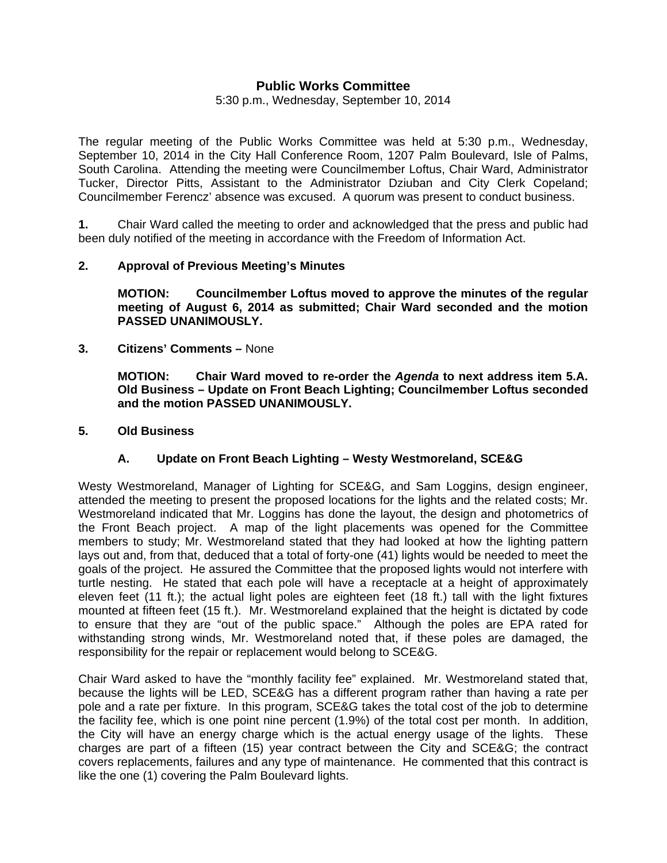# **Public Works Committee**

5:30 p.m., Wednesday, September 10, 2014

The regular meeting of the Public Works Committee was held at 5:30 p.m., Wednesday, September 10, 2014 in the City Hall Conference Room, 1207 Palm Boulevard, Isle of Palms, South Carolina. Attending the meeting were Councilmember Loftus, Chair Ward, Administrator Tucker, Director Pitts, Assistant to the Administrator Dziuban and City Clerk Copeland; Councilmember Ferencz' absence was excused. A quorum was present to conduct business.

**1.** Chair Ward called the meeting to order and acknowledged that the press and public had been duly notified of the meeting in accordance with the Freedom of Information Act.

## **2. Approval of Previous Meeting's Minutes**

 **MOTION: Councilmember Loftus moved to approve the minutes of the regular meeting of August 6, 2014 as submitted; Chair Ward seconded and the motion PASSED UNANIMOUSLY.** 

**3. Citizens' Comments –** None

 **MOTION: Chair Ward moved to re-order the** *Agenda* **to next address item 5.A. Old Business – Update on Front Beach Lighting; Councilmember Loftus seconded and the motion PASSED UNANIMOUSLY.** 

### **5. Old Business**

#### **A. Update on Front Beach Lighting – Westy Westmoreland, SCE&G**

Westy Westmoreland, Manager of Lighting for SCE&G, and Sam Loggins, design engineer, attended the meeting to present the proposed locations for the lights and the related costs; Mr. Westmoreland indicated that Mr. Loggins has done the layout, the design and photometrics of the Front Beach project. A map of the light placements was opened for the Committee members to study; Mr. Westmoreland stated that they had looked at how the lighting pattern lays out and, from that, deduced that a total of forty-one (41) lights would be needed to meet the goals of the project. He assured the Committee that the proposed lights would not interfere with turtle nesting. He stated that each pole will have a receptacle at a height of approximately eleven feet (11 ft.); the actual light poles are eighteen feet (18 ft.) tall with the light fixtures mounted at fifteen feet (15 ft.). Mr. Westmoreland explained that the height is dictated by code to ensure that they are "out of the public space." Although the poles are EPA rated for withstanding strong winds, Mr. Westmoreland noted that, if these poles are damaged, the responsibility for the repair or replacement would belong to SCE&G.

Chair Ward asked to have the "monthly facility fee" explained. Mr. Westmoreland stated that, because the lights will be LED, SCE&G has a different program rather than having a rate per pole and a rate per fixture. In this program, SCE&G takes the total cost of the job to determine the facility fee, which is one point nine percent (1.9%) of the total cost per month. In addition, the City will have an energy charge which is the actual energy usage of the lights. These charges are part of a fifteen (15) year contract between the City and SCE&G; the contract covers replacements, failures and any type of maintenance. He commented that this contract is like the one (1) covering the Palm Boulevard lights.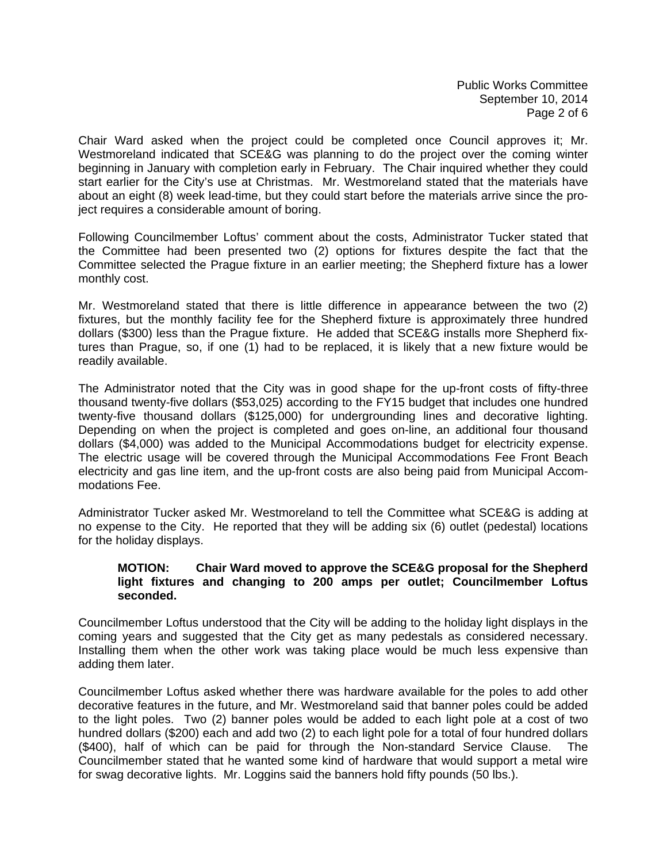Public Works Committee September 10, 2014 Page 2 of 6

Chair Ward asked when the project could be completed once Council approves it; Mr. Westmoreland indicated that SCE&G was planning to do the project over the coming winter beginning in January with completion early in February. The Chair inquired whether they could start earlier for the City's use at Christmas. Mr. Westmoreland stated that the materials have about an eight (8) week lead-time, but they could start before the materials arrive since the project requires a considerable amount of boring.

Following Councilmember Loftus' comment about the costs, Administrator Tucker stated that the Committee had been presented two (2) options for fixtures despite the fact that the Committee selected the Prague fixture in an earlier meeting; the Shepherd fixture has a lower monthly cost.

Mr. Westmoreland stated that there is little difference in appearance between the two (2) fixtures, but the monthly facility fee for the Shepherd fixture is approximately three hundred dollars (\$300) less than the Prague fixture. He added that SCE&G installs more Shepherd fixtures than Prague, so, if one (1) had to be replaced, it is likely that a new fixture would be readily available.

The Administrator noted that the City was in good shape for the up-front costs of fifty-three thousand twenty-five dollars (\$53,025) according to the FY15 budget that includes one hundred twenty-five thousand dollars (\$125,000) for undergrounding lines and decorative lighting. Depending on when the project is completed and goes on-line, an additional four thousand dollars (\$4,000) was added to the Municipal Accommodations budget for electricity expense. The electric usage will be covered through the Municipal Accommodations Fee Front Beach electricity and gas line item, and the up-front costs are also being paid from Municipal Accommodations Fee.

Administrator Tucker asked Mr. Westmoreland to tell the Committee what SCE&G is adding at no expense to the City. He reported that they will be adding six (6) outlet (pedestal) locations for the holiday displays.

## **MOTION: Chair Ward moved to approve the SCE&G proposal for the Shepherd light fixtures and changing to 200 amps per outlet; Councilmember Loftus seconded.**

Councilmember Loftus understood that the City will be adding to the holiday light displays in the coming years and suggested that the City get as many pedestals as considered necessary. Installing them when the other work was taking place would be much less expensive than adding them later.

Councilmember Loftus asked whether there was hardware available for the poles to add other decorative features in the future, and Mr. Westmoreland said that banner poles could be added to the light poles. Two (2) banner poles would be added to each light pole at a cost of two hundred dollars (\$200) each and add two (2) to each light pole for a total of four hundred dollars (\$400), half of which can be paid for through the Non-standard Service Clause. The Councilmember stated that he wanted some kind of hardware that would support a metal wire for swag decorative lights. Mr. Loggins said the banners hold fifty pounds (50 lbs.).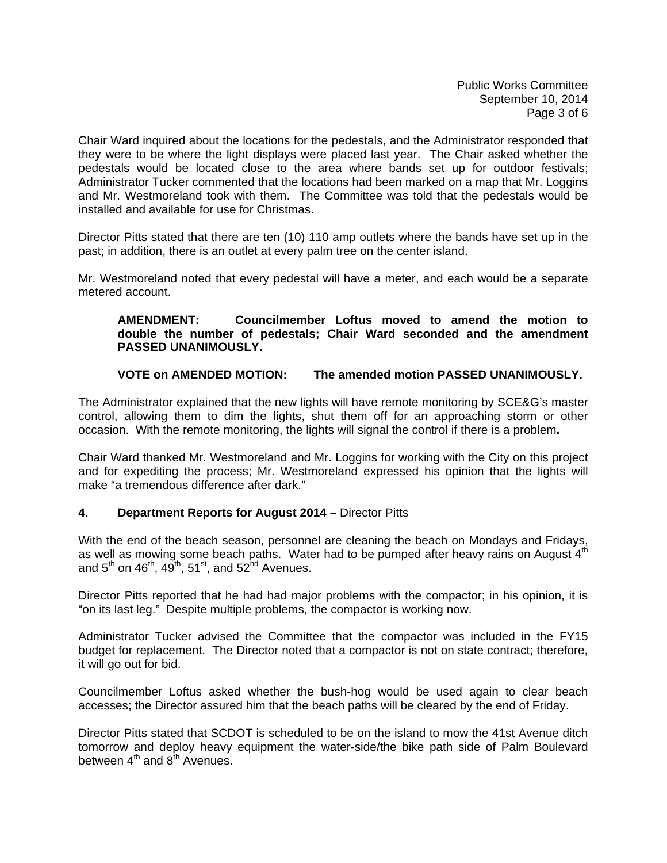Public Works Committee September 10, 2014 Page 3 of 6

Chair Ward inquired about the locations for the pedestals, and the Administrator responded that they were to be where the light displays were placed last year. The Chair asked whether the pedestals would be located close to the area where bands set up for outdoor festivals; Administrator Tucker commented that the locations had been marked on a map that Mr. Loggins and Mr. Westmoreland took with them. The Committee was told that the pedestals would be installed and available for use for Christmas.

Director Pitts stated that there are ten (10) 110 amp outlets where the bands have set up in the past; in addition, there is an outlet at every palm tree on the center island.

Mr. Westmoreland noted that every pedestal will have a meter, and each would be a separate metered account.

## **AMENDMENT: Councilmember Loftus moved to amend the motion to double the number of pedestals; Chair Ward seconded and the amendment PASSED UNANIMOUSLY.**

## **VOTE on AMENDED MOTION: The amended motion PASSED UNANIMOUSLY.**

The Administrator explained that the new lights will have remote monitoring by SCE&G's master control, allowing them to dim the lights, shut them off for an approaching storm or other occasion. With the remote monitoring, the lights will signal the control if there is a problem**.** 

Chair Ward thanked Mr. Westmoreland and Mr. Loggins for working with the City on this project and for expediting the process; Mr. Westmoreland expressed his opinion that the lights will make "a tremendous difference after dark."

#### **4. Department Reports for August 2014 –** Director Pitts

With the end of the beach season, personnel are cleaning the beach on Mondays and Fridays, as well as mowing some beach paths. Water had to be pumped after heavy rains on August  $4<sup>th</sup>$ and  $5^{th}$  on  $46^{th}$ ,  $49^{th}$ ,  $51^{st}$ , and  $52^{nd}$  Avenues.

Director Pitts reported that he had had major problems with the compactor; in his opinion, it is "on its last leg." Despite multiple problems, the compactor is working now.

Administrator Tucker advised the Committee that the compactor was included in the FY15 budget for replacement. The Director noted that a compactor is not on state contract; therefore, it will go out for bid.

Councilmember Loftus asked whether the bush-hog would be used again to clear beach accesses; the Director assured him that the beach paths will be cleared by the end of Friday.

Director Pitts stated that SCDOT is scheduled to be on the island to mow the 41st Avenue ditch tomorrow and deploy heavy equipment the water-side/the bike path side of Palm Boulevard between  $4<sup>th</sup>$  and  $8<sup>th</sup>$  Avenues.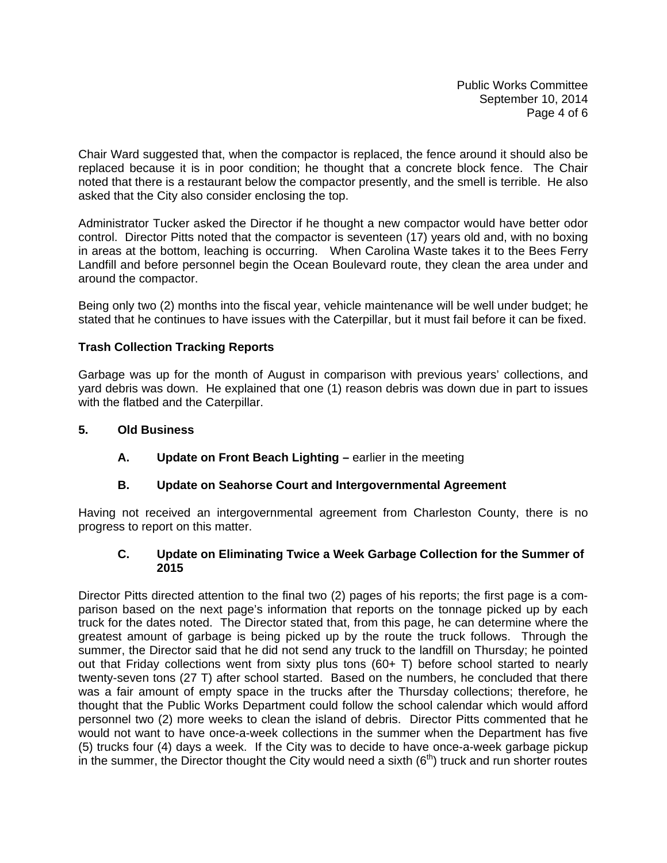Public Works Committee September 10, 2014 Page 4 of 6

Chair Ward suggested that, when the compactor is replaced, the fence around it should also be replaced because it is in poor condition; he thought that a concrete block fence. The Chair noted that there is a restaurant below the compactor presently, and the smell is terrible. He also asked that the City also consider enclosing the top.

Administrator Tucker asked the Director if he thought a new compactor would have better odor control. Director Pitts noted that the compactor is seventeen (17) years old and, with no boxing in areas at the bottom, leaching is occurring. When Carolina Waste takes it to the Bees Ferry Landfill and before personnel begin the Ocean Boulevard route, they clean the area under and around the compactor.

Being only two (2) months into the fiscal year, vehicle maintenance will be well under budget; he stated that he continues to have issues with the Caterpillar, but it must fail before it can be fixed.

# **Trash Collection Tracking Reports**

Garbage was up for the month of August in comparison with previous years' collections, and yard debris was down. He explained that one (1) reason debris was down due in part to issues with the flatbed and the Caterpillar.

## **5. Old Business**

**A.** Update on Front Beach Lighting – earlier in the meeting

# **B. Update on Seahorse Court and Intergovernmental Agreement**

Having not received an intergovernmental agreement from Charleston County, there is no progress to report on this matter.

## **C. Update on Eliminating Twice a Week Garbage Collection for the Summer of 2015**

Director Pitts directed attention to the final two (2) pages of his reports; the first page is a comparison based on the next page's information that reports on the tonnage picked up by each truck for the dates noted. The Director stated that, from this page, he can determine where the greatest amount of garbage is being picked up by the route the truck follows. Through the summer, the Director said that he did not send any truck to the landfill on Thursday; he pointed out that Friday collections went from sixty plus tons (60+ T) before school started to nearly twenty-seven tons (27 T) after school started. Based on the numbers, he concluded that there was a fair amount of empty space in the trucks after the Thursday collections; therefore, he thought that the Public Works Department could follow the school calendar which would afford personnel two (2) more weeks to clean the island of debris. Director Pitts commented that he would not want to have once-a-week collections in the summer when the Department has five (5) trucks four (4) days a week. If the City was to decide to have once-a-week garbage pickup in the summer, the Director thought the City would need a sixth  $(6<sup>th</sup>)$  truck and run shorter routes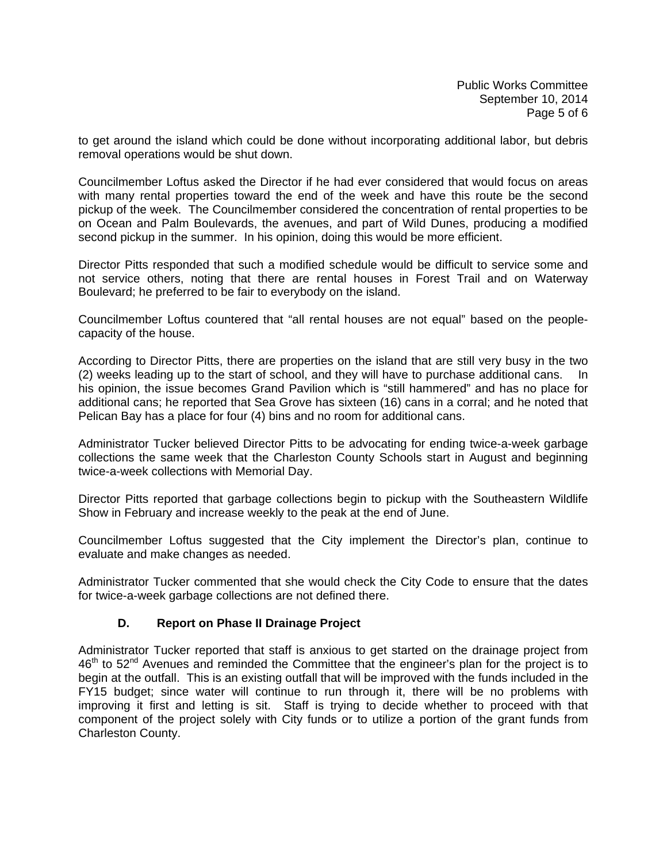to get around the island which could be done without incorporating additional labor, but debris removal operations would be shut down.

Councilmember Loftus asked the Director if he had ever considered that would focus on areas with many rental properties toward the end of the week and have this route be the second pickup of the week. The Councilmember considered the concentration of rental properties to be on Ocean and Palm Boulevards, the avenues, and part of Wild Dunes, producing a modified second pickup in the summer. In his opinion, doing this would be more efficient.

Director Pitts responded that such a modified schedule would be difficult to service some and not service others, noting that there are rental houses in Forest Trail and on Waterway Boulevard; he preferred to be fair to everybody on the island.

Councilmember Loftus countered that "all rental houses are not equal" based on the peoplecapacity of the house.

According to Director Pitts, there are properties on the island that are still very busy in the two (2) weeks leading up to the start of school, and they will have to purchase additional cans. In his opinion, the issue becomes Grand Pavilion which is "still hammered" and has no place for additional cans; he reported that Sea Grove has sixteen (16) cans in a corral; and he noted that Pelican Bay has a place for four (4) bins and no room for additional cans.

Administrator Tucker believed Director Pitts to be advocating for ending twice-a-week garbage collections the same week that the Charleston County Schools start in August and beginning twice-a-week collections with Memorial Day.

Director Pitts reported that garbage collections begin to pickup with the Southeastern Wildlife Show in February and increase weekly to the peak at the end of June.

Councilmember Loftus suggested that the City implement the Director's plan, continue to evaluate and make changes as needed.

Administrator Tucker commented that she would check the City Code to ensure that the dates for twice-a-week garbage collections are not defined there.

# **D. Report on Phase II Drainage Project**

Administrator Tucker reported that staff is anxious to get started on the drainage project from  $46<sup>th</sup>$  to  $52<sup>nd</sup>$  Avenues and reminded the Committee that the engineer's plan for the project is to begin at the outfall. This is an existing outfall that will be improved with the funds included in the FY15 budget; since water will continue to run through it, there will be no problems with improving it first and letting is sit. Staff is trying to decide whether to proceed with that component of the project solely with City funds or to utilize a portion of the grant funds from Charleston County.